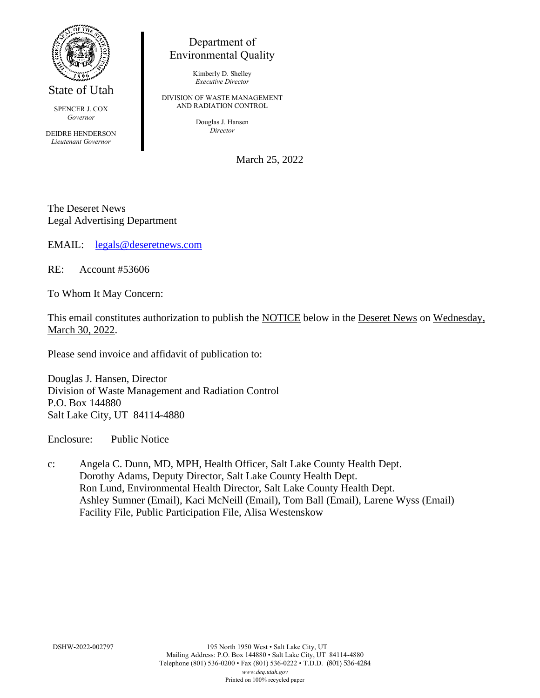

State of Utah

SPENCER J. COX *Governor*

DEIDRE HENDERSON *Lieutenant Governor*

## Department of Environmental Quality

Kimberly D. Shelley *Executive Director*

DIVISION OF WASTE MANAGEMENT AND RADIATION CONTROL

> Douglas J. Hansen *Director*

> > March 25, 2022

The Deseret News Legal Advertising Department

EMAIL: [legals@deseretnews.com](mailto:legals@deseretnews.com)

RE: Account #53606

To Whom It May Concern:

This email constitutes authorization to publish the NOTICE below in the Deseret News on Wednesday, March 30, 2022.

Please send invoice and affidavit of publication to:

Douglas J. Hansen, Director Division of Waste Management and Radiation Control P.O. Box 144880 Salt Lake City, UT 84114-4880

Enclosure: Public Notice

c: Angela C. Dunn, MD, MPH, Health Officer, Salt Lake County Health Dept. Dorothy Adams, Deputy Director, Salt Lake County Health Dept. Ron Lund, Environmental Health Director, Salt Lake County Health Dept. Ashley Sumner (Email), Kaci McNeill (Email), Tom Ball (Email), Larene Wyss (Email) Facility File, Public Participation File, Alisa Westenskow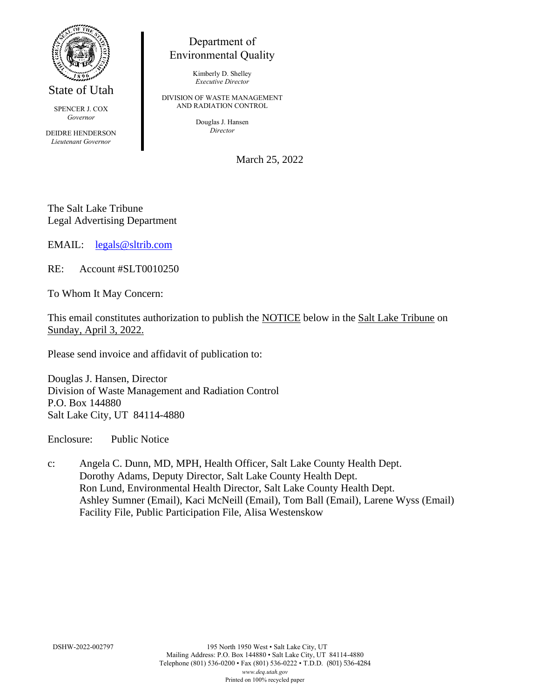

State of Utah

SPENCER J. COX *Governor*

DEIDRE HENDERSON *Lieutenant Governor*

## Department of Environmental Quality

Kimberly D. Shelley *Executive Director*

DIVISION OF WASTE MANAGEMENT AND RADIATION CONTROL

> Douglas J. Hansen *Director*

> > March 25, 2022

The Salt Lake Tribune Legal Advertising Department

EMAIL: [legals@sltrib.com](mailto:legals@sltrib.com)

RE: Account #SLT0010250

To Whom It May Concern:

This email constitutes authorization to publish the NOTICE below in the Salt Lake Tribune on Sunday, April 3, 2022.

Please send invoice and affidavit of publication to:

Douglas J. Hansen, Director Division of Waste Management and Radiation Control P.O. Box 144880 Salt Lake City, UT 84114-4880

Enclosure: Public Notice

c: Angela C. Dunn, MD, MPH, Health Officer, Salt Lake County Health Dept. Dorothy Adams, Deputy Director, Salt Lake County Health Dept. Ron Lund, Environmental Health Director, Salt Lake County Health Dept. Ashley Sumner (Email), Kaci McNeill (Email), Tom Ball (Email), Larene Wyss (Email) Facility File, Public Participation File, Alisa Westenskow